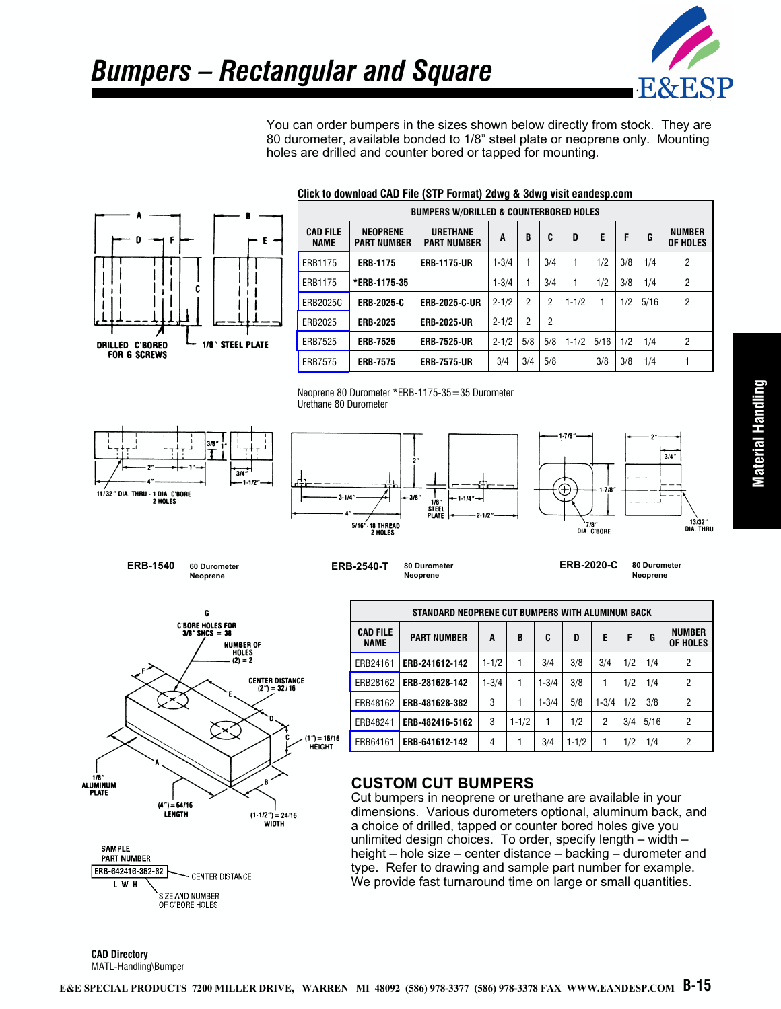

You can order bumpers in the sizes shown below directly from stock. They are 80 durometer, available bonded to 1/8" steel plate or neoprene only. Mounting holes are drilled and counter bored or tapped for mounting.



#### **Click to download CAD File (STP Format) 2dwg & 3dwg visit eandesp.com**





**CAD Directory** MATL-Handling\Bumper [ERB28162](http://eesp.co/E&E%20Special%20Products%20CAD%20Library/Inch/STEP/Material%20Handling/BUMPERS/ERB28162.stp) **ERB-281628-142** 1-3/4 1 1-3/4 3/8 1 1/2 1/4 2 [ERB48162](http://eesp.co/E&E%20Special%20Products%20CAD%20Library/Inch/STEP/Material%20Handling/BUMPERS/ERB48162.stp) **ERB-481628-382** 3 1 1 1-3/4 5/8 1-3/4 1/2 3/8 2 [ERB48241](https://eesp.co/E&E%20Special%20Products%20CAD%20Library/Inch/STEP/Material%20Handling/BUMPERS/ERB48241.stp) **ERB-482416-5162** 3 1-1/2 1 1/2 2 3/4 5/16 2 [ERB64161](http://eesp.co/E&E%20Special%20Products%20CAD%20Library/Inch/STEP/Material%20Handling/BUMPERS/ERB64161.stp) **ERB-641612-142**  $\begin{vmatrix} 4 & 1 & 3/4 & 1 & 1/2 & 1 & 1/2 & 1/4 \end{vmatrix}$  2

## **CUSTOM CUT BUMPERS**

Cut bumpers in neoprene or urethane are available in your dimensions. Various durometers optional, aluminum back, and a choice of drilled, tapped or counter bored holes give you unlimited design choices. To order, specify length – width – height – hole size – center distance – backing – durometer and type. Refer to drawing and sample part number for example. We provide fast turnaround time on large or small quantities.

Material Handling **Material Handling**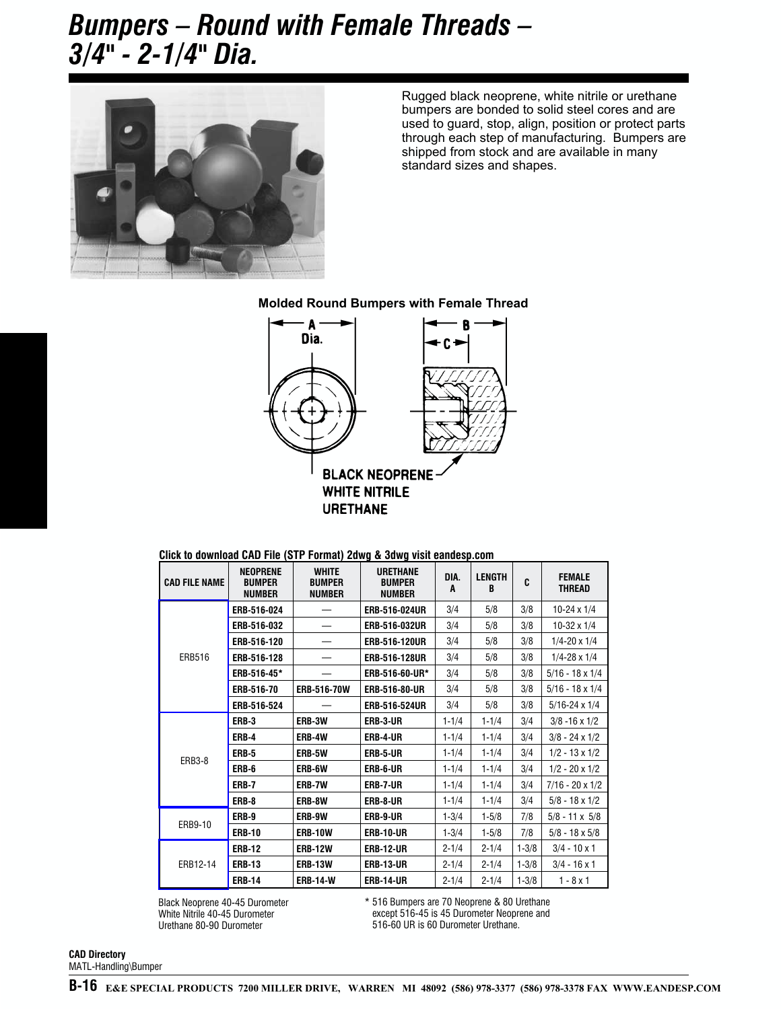# *Bumpers – Round with Female Threads – 3/4" - 2-1/4" Dia.*



Rugged black neoprene, white nit[rile or urethane](http://www.eandesp.com) bumpers are bonded to solid steel cores and are used to guard, stop, align, position or protect parts through each step of manufacturing. Bumpers are shipped from stock and are available in many standard sizes and shapes.

### **Molded Round Bumpers with Female Thread**



### **Click to download CAD File (STP Format) 2dwg & 3dwg visit eandesp.com**

| <b>CAD FILE NAME</b> | <b>NEOPRENE</b><br><b>BUMPER</b><br><b>NUMBER</b> | <b>WHITE</b><br><b>BUMPER</b><br><b>NUMBER</b> | <b>URETHANE</b><br><b>BUMPER</b><br><b>NUMBER</b> | DIA.<br>A | <b>LENGTH</b><br>B | C         | <b>FEMALE</b><br><b>THREAD</b> |
|----------------------|---------------------------------------------------|------------------------------------------------|---------------------------------------------------|-----------|--------------------|-----------|--------------------------------|
| <b>ERB516</b>        | ERB-516-024                                       |                                                | ERB-516-024UR                                     | 3/4       | 5/8                | 3/8       | $10-24 \times 1/4$             |
|                      | ERB-516-032                                       |                                                | ERB-516-032UR                                     | 3/4       | 5/8                | 3/8       | $10-32 \times 1/4$             |
|                      | ERB-516-120                                       |                                                | ERB-516-120UR                                     | 3/4       | 5/8                | 3/8       | $1/4 - 20 \times 1/4$          |
|                      | ERB-516-128                                       |                                                | ERB-516-128UR                                     | 3/4       | 5/8                | 3/8       | $1/4 - 28 \times 1/4$          |
|                      | ERB-516-45*                                       |                                                | ERB-516-60-UR*                                    | 3/4       | 5/8                | 3/8       | $5/16 - 18 \times 1/4$         |
|                      | ERB-516-70                                        | ERB-516-70W                                    | ERB-516-80-UR                                     | 3/4       | 5/8                | 3/8       | $5/16 - 18 \times 1/4$         |
|                      | ERB-516-524                                       |                                                | ERB-516-524UR                                     | 3/4       | 5/8                | 3/8       | $5/16 - 24 \times 1/4$         |
| <b>ERB3-8</b>        | ERB-3                                             | ERB-3W                                         | ERB-3-UR                                          | $1 - 1/4$ | $1 - 1/4$          | 3/4       | $3/8 - 16 \times 1/2$          |
|                      | ERB-4                                             | ERB-4W                                         | ERB-4-UR                                          | $1 - 1/4$ | $1 - 1/4$          | 3/4       | $3/8 - 24 \times 1/2$          |
|                      | <b>ERB-5</b>                                      | ERB-5W                                         | ERB-5-UR                                          | $1 - 1/4$ | $1 - 1/4$          | 3/4       | $1/2 - 13 \times 1/2$          |
|                      | ERB-6                                             | ERB-6W                                         | ERB-6-UR                                          | $1 - 1/4$ | $1 - 1/4$          | 3/4       | $1/2 - 20 \times 1/2$          |
|                      | <b>ERB-7</b>                                      | ERB-7W                                         | ERB-7-UR                                          | $1 - 1/4$ | $1 - 1/4$          | 3/4       | $7/16 - 20 \times 1/2$         |
|                      | ERB-8                                             | ERB-8W                                         | ERB-8-UR                                          | $1 - 1/4$ | $1 - 1/4$          | 3/4       | $5/8 - 18 \times 1/2$          |
| ERB9-10              | ERB-9                                             | ERB-9W                                         | ERB-9-UR                                          | $1 - 3/4$ | $1 - 5/8$          | 7/8       | $5/8 - 11 \times 5/8$          |
|                      | <b>ERB-10</b>                                     | <b>ERB-10W</b>                                 | <b>ERB-10-UR</b>                                  | $1 - 3/4$ | $1 - 5/8$          | 7/8       | $5/8 - 18 \times 5/8$          |
| ERB12-14             | <b>ERB-12</b>                                     | <b>ERB-12W</b>                                 | <b>ERB-12-UR</b>                                  | $2 - 1/4$ | $2 - 1/4$          | $1 - 3/8$ | $3/4 - 10 \times 1$            |
|                      | <b>ERB-13</b>                                     | <b>ERB-13W</b>                                 | <b>ERB-13-UR</b>                                  | $2 - 1/4$ | $2 - 1/4$          | $1 - 3/8$ | $3/4 - 16 \times 1$            |
|                      | <b>ERB-14</b>                                     | <b>ERB-14-W</b>                                | <b>ERB-14-UR</b>                                  | $2 - 1/4$ | $2 - 1/4$          | $1 - 3/8$ | $1 - 8x1$                      |

Black Neoprene 40-45 Durometer White Nitrile 40-45 Durometer Urethane 80-90 Durometer

\* 516 Bumpers are 70 Neoprene & 80 Urethane except 516-45 is 45 Durometer Neoprene and 516-60 UR is 60 Durometer Urethane.

**CAD Directory** MATL-Handling\Bumper